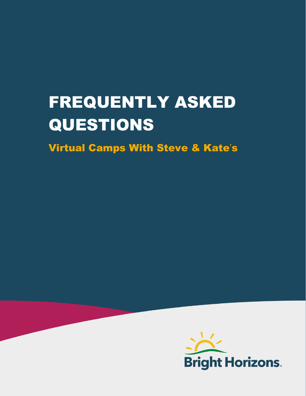# FREQUENTLY ASKED QUESTIONS

Virtual Camps With Steve & Kate's

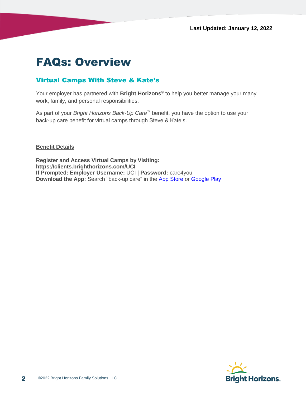## FAQs: Overview

#### Virtual Camps With Steve & Kate's

Your employer has partnered with **Bright Horizons®** to help you better manage your many work, family, and personal responsibilities.

As part of your *Bright Horizons Back-Up Care™* benefit, you have the option to use your back-up care benefit for virtual camps through Steve & Kate's.

**Benefit Details**

**Register and Access Virtual Camps by Visiting: https://clients.brighthorizons.com/UCI If Prompted: Employer Username:** UCI | **Password:** care4you **Download the App:** Search "back-up care" in the [App Store](https://itunes.apple.com/us/app/back-up-care/id947422033?mt=8) or [Google Play](https://play.google.com/store/apps/details?id=com.brighthorizons.backupcare&hl=en_US)

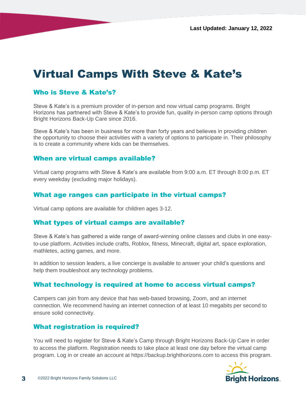# Virtual Camps With Steve & Kate's

#### Who is Steve & Kate's?

Steve & Kate's is a premium provider of in-person and now virtual camp programs. Bright Horizons has partnered with Steve & Kate's to provide fun, quality in-person camp options through Bright Horizons Back-Up Care since 2016.

Steve & Kate's has been in business for more than forty years and believes in providing children the opportunity to choose their activities with a variety of options to participate in. Their philosophy is to create a community where kids can be themselves.

#### When are virtual camps available?

Virtual camp programs with Steve & Kate's are available from 9:00 a.m. ET through 8:00 p.m. ET every weekday (excluding major holidays).

#### What age ranges can participate in the virtual camps?

Virtual camp options are available for children ages 3-12.

#### What types of virtual camps are available?

Steve & Kate's has gathered a wide range of award-winning online classes and clubs in one easyto-use platform. Activities include crafts, Roblox, fitness, Minecraft, digital art, space exploration, mathletes, acting games, and more.

In addition to session leaders, a live concierge is available to answer your child's questions and help them troubleshoot any technology problems.

#### What technology is required at home to access virtual camps?

Campers can join from any device that has web-based browsing, Zoom, and an internet connection. We recommend having an internet connection of at least 10 megabits per second to ensure solid connectivity.

#### What registration is required?

You will need to register for Steve & Kate's Camp through Bright Horizons Back-Up Care in order to access the platform. Registration needs to take place at least one day before the virtual camp program. Log in or create an account at https://backup.brighthorizons.com to access this program.

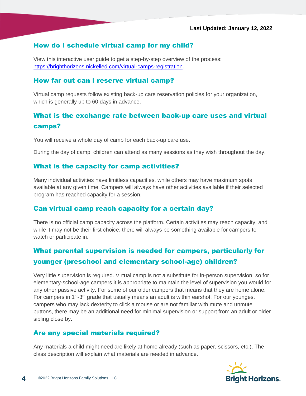#### How do I schedule virtual camp for my child?

View this interactive user guide to get a step-by-step overview of the process: [https://brighthorizons.nickelled.com/virtual-camps-registration.](https://brighthorizons.nickelled.com/virtual-camps-registration)

#### How far out can I reserve virtual camp?

Virtual camp requests follow existing back-up care reservation policies for your organization, which is generally up to 60 days in advance.

### What is the exchange rate between back-up care uses and virtual camps?

You will receive a whole day of camp for each back-up care use.

During the day of camp, children can attend as many sessions as they wish throughout the day.

#### What is the capacity for camp activities?

Many individual activities have limitless capacities, while others may have maximum spots available at any given time. Campers will always have other activities available if their selected program has reached capacity for a session.

#### Can virtual camp reach capacity for a certain day?

There is no official camp capacity across the platform. Certain activities may reach capacity, and while it may not be their first choice, there will always be something available for campers to watch or participate in.

## What parental supervision is needed for campers, particularly for younger (preschool and elementary school-age) children?

Very little supervision is required. Virtual camp is not a substitute for in-person supervision, so for elementary-school-age campers it is appropriate to maintain the level of supervision you would for any other passive activity. For some of our older campers that means that they are home alone. For campers in 1<sup>st</sup>-3<sup>rd</sup> grade that usually means an adult is within earshot. For our youngest campers who may lack dexterity to click a mouse or are not familiar with mute and unmute buttons, there may be an additional need for minimal supervision or support from an adult or older sibling close by.

#### Are any special materials required?

Any materials a child might need are likely at home already (such as paper, scissors, etc.). The class description will explain what materials are needed in advance.